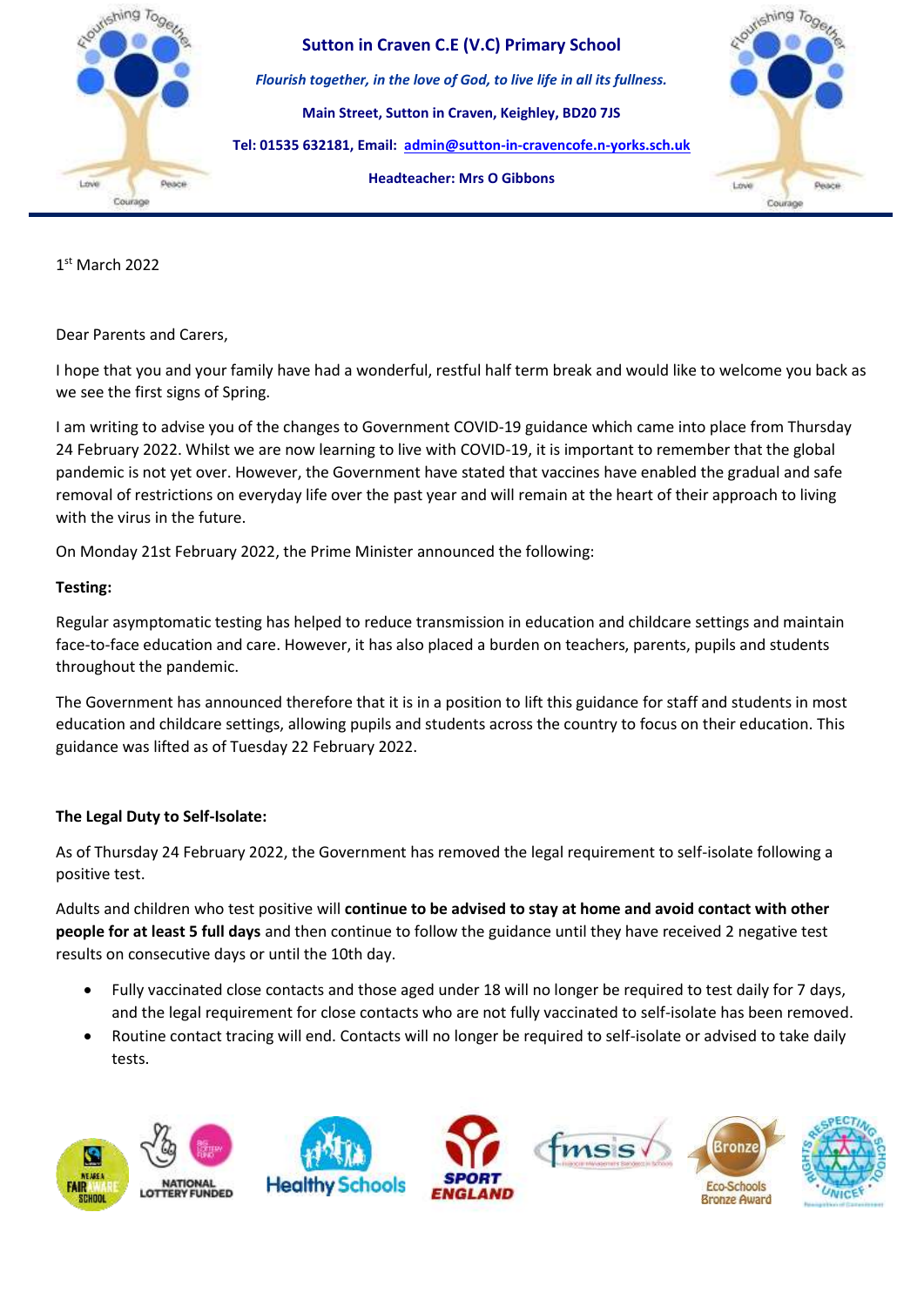

**Sutton in Craven C.E (V.C) Primary School** *Flourish together, in the love of God, to live life in all its fullness.* **Main Street, Sutton in Craven, Keighley, BD20 7JS Tel: 01535 632181, Email: [admin@sutton-in-cravencofe.n-yorks.sch.uk](mailto:admin@sutton-in-cravencofe.n-yorks.sch.uk) Headteacher: Mrs O Gibbons**



1 st March 2022

Dear Parents and Carers,

I hope that you and your family have had a wonderful, restful half term break and would like to welcome you back as we see the first signs of Spring.

I am writing to advise you of the changes to Government COVID-19 guidance which came into place from Thursday 24 February 2022. Whilst we are now learning to live with COVID-19, it is important to remember that the global pandemic is not yet over. However, the Government have stated that vaccines have enabled the gradual and safe removal of restrictions on everyday life over the past year and will remain at the heart of their approach to living with the virus in the future.

On Monday 21st February 2022, the Prime Minister announced the following:

## **Testing:**

Regular asymptomatic testing has helped to reduce transmission in education and childcare settings and maintain face-to-face education and care. However, it has also placed a burden on teachers, parents, pupils and students throughout the pandemic.

The Government has announced therefore that it is in a position to lift this guidance for staff and students in most education and childcare settings, allowing pupils and students across the country to focus on their education. This guidance was lifted as of Tuesday 22 February 2022.

## **The Legal Duty to Self-Isolate:**

As of Thursday 24 February 2022, the Government has removed the legal requirement to self-isolate following a positive test.

Adults and children who test positive will **continue to be advised to stay at home and avoid contact with other people for at least 5 full days** and then continue to follow the guidance until they have received 2 negative test results on consecutive days or until the 10th day.

- Fully vaccinated close contacts and those aged under 18 will no longer be required to test daily for 7 days, and the legal requirement for close contacts who are not fully vaccinated to self-isolate has been removed.
- Routine contact tracing will end. Contacts will no longer be required to self-isolate or advised to take daily tests.